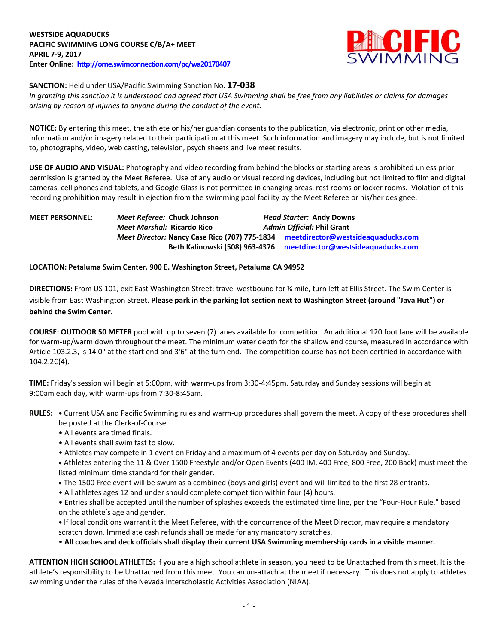

**SANCTION:** Held under USA/Pacific Swimming Sanction No. **17-038**

*In granting this sanction it is understood and agreed that USA Swimming shall be free from any liabilities or claims for damages arising by reason of injuries to anyone during the conduct of the event.*

**NOTICE:** By entering this meet, the athlete or his/her guardian consents to the publication, via electronic, print or other media, information and/or imagery related to their participation at this meet. Such information and imagery may include, but is not limited to, photographs, video, web casting, television, psych sheets and live meet results.

**USE OF AUDIO AND VISUAL:** Photography and video recording from behind the blocks or starting areas is prohibited unless prior permission is granted by the Meet Referee. Use of any audio or visual recording devices, including but not limited to film and digital cameras, cell phones and tablets, and Google Glass is not permitted in changing areas, rest rooms or locker rooms. Violation of this recording prohibition may result in ejection from the swimming pool facility by the Meet Referee or his/her designee.

### **MEET PERSONNEL:** *Meet Referee:* **Chuck Johnson** *Head Starter:* **Andy Downs** *Meet Marshal:* **Ricardo Rico** *Admin Official:* **Phil Grant** *Meet Director:* **Nancy Case Rico (707) 775-1834 [meetdirector@westsideaquaducks.com](mailto:meetdirector@westsideaquaducks.com)** **Beth Kalinowski (508) 963-4376 [meetdirector@westsideaquaducks.com](mailto:meetdirector@westsideaquaducks.com)**

#### **LOCATION: Petaluma Swim Center, 900 E. Washington Street, Petaluma CA 94952**

**DIRECTIONS:** From US 101, exit East Washington Street; travel westbound for ¼ mile, turn left at Ellis Street. The Swim Center is visible from East Washington Street. **Please park in the parking lot section next to Washington Street (around "Java Hut") or behind the Swim Center.**

**COURSE: OUTDOOR 50 METER** pool with up to seven (7) lanes available for competition. An additional 120 foot lane will be available for warm-up/warm down throughout the meet. The minimum water depth for the shallow end course, measured in accordance with Article 103.2.3, is 14'0" at the start end and 3'6" at the turn end. The competition course has not been certified in accordance with 104.2.2C(4).

**TIME:** Friday's session will begin at 5:00pm, with warm-ups from 3:30-4:45pm. Saturday and Sunday sessions will begin at 9:00am each day, with warm-ups from 7:30-8:45am.

- **RULES:** Current USA and Pacific Swimming rules and warm-up procedures shall govern the meet. A copy of these procedures shall be posted at the Clerk-of-Course.
	- All events are timed finals.
	- All events shall swim fast to slow.
	- Athletes may compete in 1 event on Friday and a maximum of 4 events per day on Saturday and Sunday.
	- Athletes entering the 11 & Over 1500 Freestyle and/or Open Events (400 IM, 400 Free, 800 Free, 200 Back) must meet the listed minimum time standard for their gender.
	- The 1500 Free event will be swum as a combined (boys and girls) event and will limited to the first 28 entrants.
	- All athletes ages 12 and under should complete competition within four (4) hours.

• Entries shall be accepted until the number of splashes exceeds the estimated time line, per the "Four-Hour Rule," based on the athlete's age and gender.

**•** If local conditions warrant it the Meet Referee, with the concurrence of the Meet Director, may require a mandatory scratch down. Immediate cash refunds shall be made for any mandatory scratches.

• **All coaches and deck officials shall display their current USA Swimming membership cards in a visible manner.** 

**ATTENTION HIGH SCHOOL ATHLETES:** If you are a high school athlete in season, you need to be Unattached from this meet. It is the athlete's responsibility to be Unattached from this meet. You can un-attach at the meet if necessary. This does not apply to athletes swimming under the rules of the Nevada Interscholastic Activities Association (NIAA).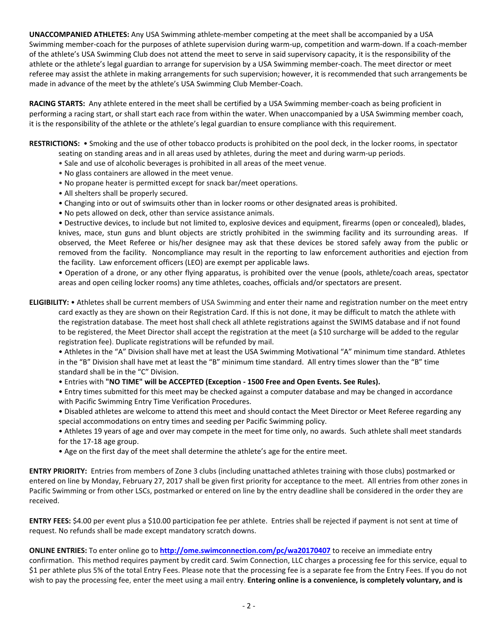**UNACCOMPANIED ATHLETES:** Any USA Swimming athlete-member competing at the meet shall be accompanied by a USA Swimming member-coach for the purposes of athlete supervision during warm-up, competition and warm-down. If a coach-member of the athlete's USA Swimming Club does not attend the meet to serve in said supervisory capacity, it is the responsibility of the athlete or the athlete's legal guardian to arrange for supervision by a USA Swimming member-coach. The meet director or meet referee may assist the athlete in making arrangements for such supervision; however, it is recommended that such arrangements be made in advance of the meet by the athlete's USA Swimming Club Member-Coach.

**RACING STARTS:** Any athlete entered in the meet shall be certified by a USA Swimming member-coach as being proficient in performing a racing start, or shall start each race from within the water. When unaccompanied by a USA Swimming member coach, it is the responsibility of the athlete or the athlete's legal guardian to ensure compliance with this requirement.

**RESTRICTIONS:** • Smoking and the use of other tobacco products is prohibited on the pool deck, in the locker rooms, in spectator

- seating on standing areas and in all areas used by athletes, during the meet and during warm-up periods.
- Sale and use of alcoholic beverages is prohibited in all areas of the meet venue.
- No glass containers are allowed in the meet venue.
- No propane heater is permitted except for snack bar/meet operations.
- All shelters shall be properly secured.
- Changing into or out of swimsuits other than in locker rooms or other designated areas is prohibited.
- No pets allowed on deck, other than service assistance animals.

• Destructive devices, to include but not limited to, explosive devices and equipment, firearms (open or concealed), blades, knives, mace, stun guns and blunt objects are strictly prohibited in the swimming facility and its surrounding areas. If observed, the Meet Referee or his/her designee may ask that these devices be stored safely away from the public or removed from the facility. Noncompliance may result in the reporting to law enforcement authorities and ejection from the facility. Law enforcement officers (LEO) are exempt per applicable laws.

• Operation of a drone, or any other flying apparatus, is prohibited over the venue (pools, athlete/coach areas, spectator areas and open ceiling locker rooms) any time athletes, coaches, officials and/or spectators are present.

**ELIGIBILITY:** • Athletes shall be current members of USA Swimming and enter their name and registration number on the meet entry card exactly as they are shown on their Registration Card. If this is not done, it may be difficult to match the athlete with the registration database. The meet host shall check all athlete registrations against the SWIMS database and if not found to be registered, the Meet Director shall accept the registration at the meet (a \$10 surcharge will be added to the regular registration fee). Duplicate registrations will be refunded by mail.

• Athletes in the "A" Division shall have met at least the USA Swimming Motivational "A" minimum time standard. Athletes in the "B" Division shall have met at least the "B" minimum time standard. All entry times slower than the "B" time standard shall be in the "C" Division.

- Entries with **"NO TIME" will be ACCEPTED (Exception - 1500 Free and Open Events. See Rules).**
- Entry times submitted for this meet may be checked against a computer database and may be changed in accordance with Pacific Swimming Entry Time Verification Procedures.
- Disabled athletes are welcome to attend this meet and should contact the Meet Director or Meet Referee regarding any special accommodations on entry times and seeding per Pacific Swimming policy.
- Athletes 19 years of age and over may compete in the meet for time only, no awards. Such athlete shall meet standards for the 17-18 age group.
- Age on the first day of the meet shall determine the athlete's age for the entire meet.

**ENTRY PRIORITY:** Entries from members of Zone 3 clubs (including unattached athletes training with those clubs) postmarked or entered on line by Monday, February 27, 2017 shall be given first priority for acceptance to the meet. All entries from other zones in Pacific Swimming or from other LSCs, postmarked or entered on line by the entry deadline shall be considered in the order they are received.

**ENTRY FEES:** \$4.00 per event plus a \$10.00 participation fee per athlete. Entries shall be rejected if payment is not sent at time of request. No refunds shall be made except mandatory scratch downs.

**ONLINE ENTRIES:** To enter online go to **<http://ome.swimconnection.com/pc/wa20170407>** to receive an immediate entry confirmation. This method requires payment by credit card. Swim Connection, LLC charges a processing fee for this service, equal to \$1 per athlete plus 5% of the total Entry Fees. Please note that the processing fee is a separate fee from the Entry Fees. If you do not wish to pay the processing fee, enter the meet using a mail entry. **Entering online is a convenience, is completely voluntary, and is**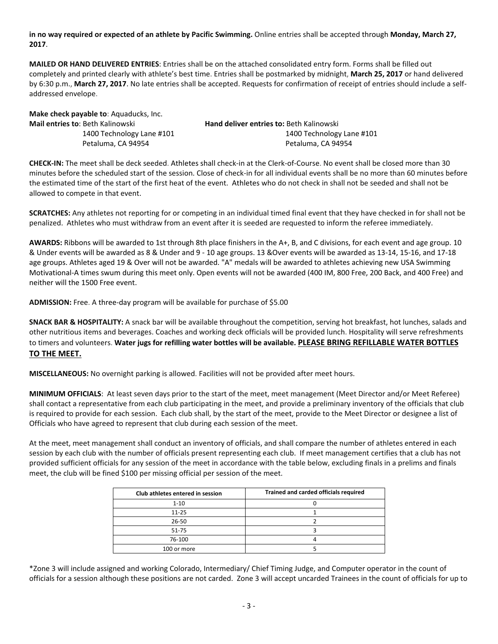**in no way required or expected of an athlete by Pacific Swimming.** Online entries shall be accepted through **Monday, March 27, 2017**.

**MAILED OR HAND DELIVERED ENTRIES**: Entries shall be on the attached consolidated entry form. Forms shall be filled out completely and printed clearly with athlete's best time. Entries shall be postmarked by midnight, **March 25, 2017** or hand delivered by 6:30 p.m., **March 27, 2017**. No late entries shall be accepted. Requests for confirmation of receipt of entries should include a selfaddressed envelope.

**Make check payable to**: Aquaducks, Inc. **Mail entries to**: Beth Kalinowski **Hand deliver entries to:** Beth Kalinowski

 1400 Technology Lane #101 1400 Technology Lane #101 Petaluma, CA 94954 Petaluma, CA 94954

**CHECK-IN:** The meet shall be deck seeded. Athletes shall check-in at the Clerk-of-Course. No event shall be closed more than 30 minutes before the scheduled start of the session. Close of check-in for all individual events shall be no more than 60 minutes before the estimated time of the start of the first heat of the event. Athletes who do not check in shall not be seeded and shall not be allowed to compete in that event.

**SCRATCHES:** Any athletes not reporting for or competing in an individual timed final event that they have checked in for shall not be penalized. Athletes who must withdraw from an event after it is seeded are requested to inform the referee immediately.

**AWARDS:** Ribbons will be awarded to 1st through 8th place finishers in the A+, B, and C divisions, for each event and age group. 10 & Under events will be awarded as 8 & Under and 9 - 10 age groups. 13 &Over events will be awarded as 13-14, 15-16, and 17-18 age groups. Athletes aged 19 & Over will not be awarded. "A" medals will be awarded to athletes achieving new USA Swimming Motivational-A times swum during this meet only. Open events will not be awarded (400 IM, 800 Free, 200 Back, and 400 Free) and neither will the 1500 Free event.

**ADMISSION:** Free. A three-day program will be available for purchase of \$5.00

**SNACK BAR & HOSPITALITY:** A snack bar will be available throughout the competition, serving hot breakfast, hot lunches, salads and other nutritious items and beverages. Coaches and working deck officials will be provided lunch. Hospitality will serve refreshments to timers and volunteers. **Water jugs for refilling water bottles will be available. PLEASE BRING REFILLABLE WATER BOTTLES TO THE MEET.**

**MISCELLANEOUS:** No overnight parking is allowed. Facilities will not be provided after meet hours.

**MINIMUM OFFICIALS**: At least seven days prior to the start of the meet, meet management (Meet Director and/or Meet Referee) shall contact a representative from each club participating in the meet, and provide a preliminary inventory of the officials that club is required to provide for each session. Each club shall, by the start of the meet, provide to the Meet Director or designee a list of Officials who have agreed to represent that club during each session of the meet.

At the meet, meet management shall conduct an inventory of officials, and shall compare the number of athletes entered in each session by each club with the number of officials present representing each club. If meet management certifies that a club has not provided sufficient officials for any session of the meet in accordance with the table below, excluding finals in a prelims and finals meet, the club will be fined \$100 per missing official per session of the meet.

| Club athletes entered in session | Trained and carded officials required |
|----------------------------------|---------------------------------------|
| $1 - 10$                         |                                       |
| $11 - 25$                        |                                       |
| $26 - 50$                        |                                       |
| $51 - 75$                        |                                       |
| 76-100                           |                                       |
| 100 or more                      |                                       |

\*Zone 3 will include assigned and working Colorado, Intermediary/ Chief Timing Judge, and Computer operator in the count of officials for a session although these positions are not carded. Zone 3 will accept uncarded Trainees in the count of officials for up to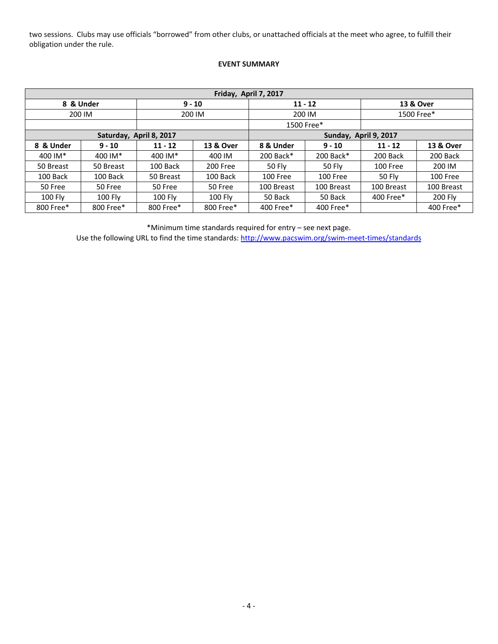two sessions. Clubs may use officials "borrowed" from other clubs, or unattached officials at the meet who agree, to fulfill their obligation under the rule.

### **EVENT SUMMARY**

| Friday, April 7, 2017 |                |                         |           |                        |               |            |            |  |  |
|-----------------------|----------------|-------------------------|-----------|------------------------|---------------|------------|------------|--|--|
|                       | 8 & Under      |                         | $9 - 10$  |                        | $11 - 12$     | 13 & Over  |            |  |  |
| 200 IM                |                |                         | 200 IM    | 200 IM                 |               | 1500 Free* |            |  |  |
|                       |                |                         |           |                        | 1500 Free*    |            |            |  |  |
|                       |                | Saturday, April 8, 2017 |           | Sunday, April 9, 2017  |               |            |            |  |  |
| 8 & Under             | $9 - 10$       | $11 - 12$               | 13 & Over | 8 & Under<br>$9 - 10$  |               | $11 - 12$  | 13 & Over  |  |  |
| 400 IM*               | 400 IM*        | 400 IM*                 | 400 IM    | 200 Back*              | 200 Back*     | 200 Back   | 200 Back   |  |  |
| 50 Breast             | 50 Breast      | 100 Back                | 200 Free  | 50 Fly                 | <b>50 Flv</b> | 100 Free   | 200 IM     |  |  |
| 100 Back              | 100 Back       | 50 Breast               | 100 Back  | <b>100 Free</b>        | 100 Free      | 50 Fly     | 100 Free   |  |  |
| 50 Free               | 50 Free        | 50 Free                 | 50 Free   | 100 Breast             | 100 Breast    | 100 Breast | 100 Breast |  |  |
| 100 Fly               | <b>100 Fly</b> | 100 Fly                 | 100 Fly   | 50 Back                | 50 Back       | 400 Free*  | 200 Fly    |  |  |
| 800 Free*             | 800 Free*      | 800 Free*               | 800 Free* | 400 Free*<br>400 Free* |               |            | 400 Free*  |  |  |

\*Minimum time standards required for entry – see next page.

Use the following URL to find the time standards:<http://www.pacswim.org/swim-meet-times/standards>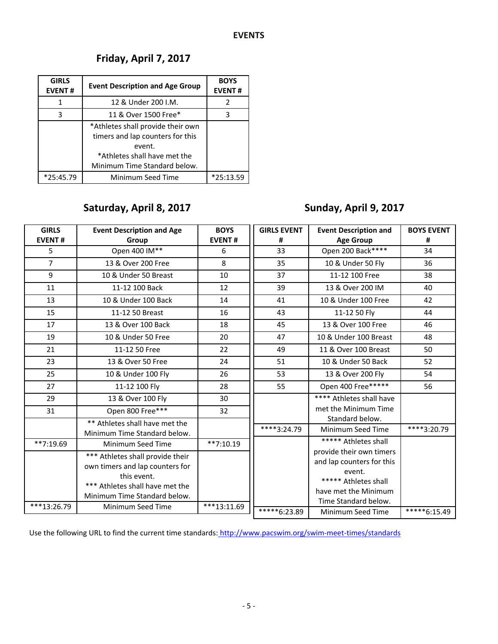## **Friday, April 7, 2017**

| <b>GIRLS</b><br><b>EVENT#</b> | <b>Event Description and Age Group</b>                                                                                                          | <b>BOYS</b><br><b>EVENT#</b> |
|-------------------------------|-------------------------------------------------------------------------------------------------------------------------------------------------|------------------------------|
| 1                             | 12 & Under 200 I.M.                                                                                                                             |                              |
| 3                             | 11 & Over 1500 Free*                                                                                                                            |                              |
|                               | *Athletes shall provide their own<br>timers and lap counters for this<br>event.<br>*Athletes shall have met the<br>Minimum Time Standard below. |                              |
| $*25:45.79$                   | Minimum Seed Time                                                                                                                               | *25:13.59                    |

# **Saturday, April 8, 2017**

# **Sunday, April 9, 2017**

| <b>GIRLS</b>   | <b>Event Description and Age</b> | <b>BOYS</b>   | <b>GIRLS EVENT</b> | <b>Event Description and</b> | <b>BOYS EVENT</b> |
|----------------|----------------------------------|---------------|--------------------|------------------------------|-------------------|
| <b>EVENT#</b>  | Group                            | <b>EVENT#</b> | #                  | <b>Age Group</b>             | #                 |
| 5              | Open 400 IM**                    | 6             | 33                 | Open 200 Back****            |                   |
| $\overline{7}$ | 13 & Over 200 Free               | 8             | 35                 | 10 & Under 50 Fly            | 36                |
| 9              | 10 & Under 50 Breast             | 10            | 37                 | 11-12 100 Free               | 38                |
| 11             | 11-12 100 Back                   | 12            | 39                 | 13 & Over 200 IM             | 40                |
| 13             | 10 & Under 100 Back              | 14            | 41                 | 10 & Under 100 Free          | 42                |
| 15             | 11-12 50 Breast                  | 16            | 43                 | 11-12 50 Fly                 | 44                |
| 17             | 13 & Over 100 Back               | 18            | 45                 | 13 & Over 100 Free           | 46                |
| 19             | 10 & Under 50 Free               | 20            | 47                 | 10 & Under 100 Breast        | 48                |
| 21             | 11-12 50 Free                    | 22            | 49                 | 11 & Over 100 Breast         | 50                |
| 23             | 13 & Over 50 Free                | 24            | 51                 | 10 & Under 50 Back           | 52                |
| 25             | 10 & Under 100 Fly               | 26            | 53                 | 13 & Over 200 Fly            | 54                |
| 27             | 11-12 100 Fly                    | 28            | 55                 | Open 400 Free*****           | 56                |
| 29             | 13 & Over 100 Fly                | 30            |                    | **** Athletes shall have     |                   |
| 31             | Open 800 Free***                 | 32            |                    | met the Minimum Time         |                   |
|                | ** Athletes shall have met the   |               |                    | Standard below.              |                   |
|                | Minimum Time Standard below.     |               | ****3:24.79        | Minimum Seed Time            | ****3:20.79       |
| $**7:19.69$    | Minimum Seed Time                | $**7:10.19$   |                    | ***** Athletes shall         |                   |
|                | *** Athletes shall provide their |               |                    | provide their own timers     |                   |
|                | own timers and lap counters for  |               |                    | and lap counters for this    |                   |
|                | this event.                      |               |                    | event.                       |                   |
|                | *** Athletes shall have met the  |               |                    | ***** Athletes shall         |                   |
|                | Minimum Time Standard below.     |               |                    | have met the Minimum         |                   |
| ***13:26.79    | Minimum Seed Time                | $***13:11.69$ |                    | Time Standard below.         |                   |
|                |                                  |               | $****6:23.89$      | Minimum Seed Time            | $****6:15.49$     |

Use the following URL to find the current time standards: http://www.pacswim.org/swim-meet-times/standards